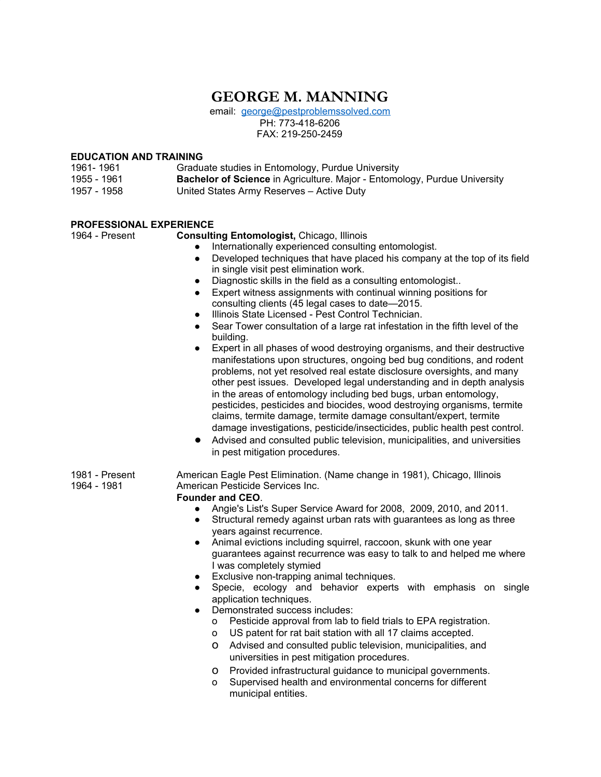# **GEORGE M. MANNING**

email: [george@pestproblemssolved.com](mailto:george@pestproblemssolved.com) PH: 773-418-6206 FAX: 219-250-2459

# **EDUCATION AND TRAINING**

| 1961- 1961  | Graduate studies in Entomology, Purdue University                                |
|-------------|----------------------------------------------------------------------------------|
| 1955 - 1961 | <b>Bachelor of Science</b> in Agriculture. Major - Entomology, Purdue University |
| 1957 - 1958 | United States Army Reserves – Active Duty                                        |

# **PROFESSIONAL EXPERIENCE**

1964 - Present **Consulting Entomologist,** Chicago, Illinois

- Internationally experienced consulting entomologist.
- Developed techniques that have placed his company at the top of its field in single visit pest elimination work.
- Diagnostic skills in the field as a consulting entomologist..
- Expert witness assignments with continual winning positions for consulting clients (45 legal cases to date—2015.
- Illinois State Licensed Pest Control Technician.
- Sear Tower consultation of a large rat infestation in the fifth level of the building.
- Expert in all phases of wood destroying organisms, and their destructive manifestations upon structures, ongoing bed bug conditions, and rodent problems, not yet resolved real estate disclosure oversights, and many other pest issues. Developed legal understanding and in depth analysis in the areas of entomology including bed bugs, urban entomology, pesticides, pesticides and biocides, wood destroying organisms, termite claims, termite damage, termite damage consultant/expert, termite damage investigations, pesticide/insecticides, public health pest control.
- Advised and consulted public television, municipalities, and universities in pest mitigation procedures.
- 1981 Present American Eagle Pest Elimination. (Name change in 1981), Chicago, Illinois<br>1964 1981 American Pesticide Services Inc. American Pesticide Services Inc.

# **Founder and CEO**.

- Angie's List's Super Service Award for 2008, 2009, 2010, and 2011.
- Structural remedy against urban rats with guarantees as long as three years against recurrence.
- Animal evictions including squirrel, raccoon, skunk with one year guarantees against recurrence was easy to talk to and helped me where I was completely stymied
- Exclusive non-trapping animal techniques.
- Specie, ecology and behavior experts with emphasis on single application techniques.
- Demonstrated success includes:
	- o Pesticide approval from lab to field trials to EPA registration.
	- o US patent for rat bait station with all 17 claims accepted.
	- o Advised and consulted public television, municipalities, and universities in pest mitigation procedures.
	- o Provided infrastructural guidance to municipal governments.
	- o Supervised health and environmental concerns for different municipal entities.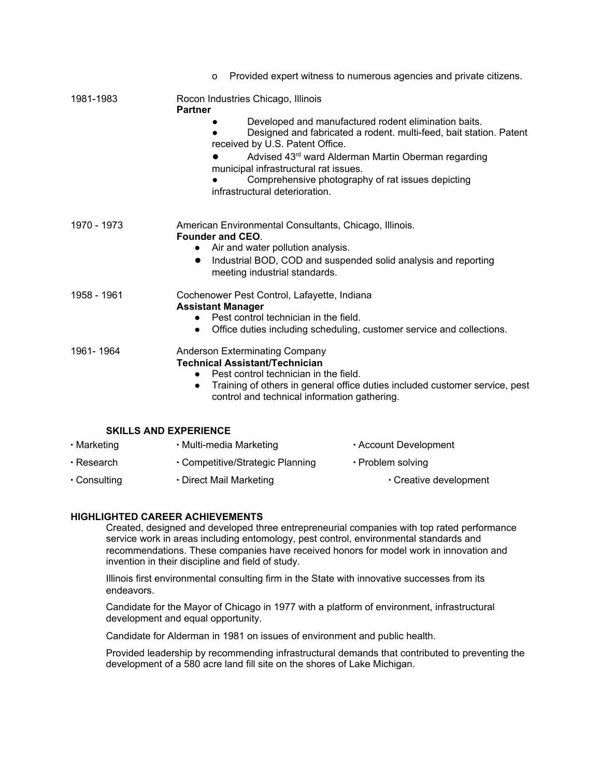|                              | Provided expert witness to numerous agencies and private citizens.<br>0                                                                                                                                                                                                                                                                                                                                      |
|------------------------------|--------------------------------------------------------------------------------------------------------------------------------------------------------------------------------------------------------------------------------------------------------------------------------------------------------------------------------------------------------------------------------------------------------------|
| 1981-1983                    | Rocon Industries Chicago, Illinois<br><b>Partner</b><br>Developed and manufactured rodent elimination baits.<br>Designed and fabricated a rodent. multi-feed, bait station. Patent<br>received by U.S. Patent Office.<br>Advised 43rd ward Alderman Martin Oberman regarding<br>municipal infrastructural rat issues.<br>Comprehensive photography of rat issues depicting<br>infrastructural deterioration. |
| 1970 - 1973                  | American Environmental Consultants, Chicago, Illinois.<br><b>Founder and CEO.</b><br>Air and water pollution analysis.<br>$\bullet$<br>Industrial BOD, COD and suspended solid analysis and reporting<br>$\bullet$<br>meeting industrial standards.                                                                                                                                                          |
| 1958 - 1961                  | Cochenower Pest Control, Lafayette, Indiana<br><b>Assistant Manager</b><br>Pest control technician in the field.<br>$\bullet$<br>Office duties including scheduling, customer service and collections.<br>$\bullet$                                                                                                                                                                                          |
| 1961-1964                    | Anderson Exterminating Company<br><b>Technical Assistant/Technician</b><br>Pest control technician in the field.<br>$\bullet$<br>Training of others in general office duties included customer service, pest<br>$\bullet$<br>control and technical information gathering.                                                                                                                                    |
| <b>SKILLS AND EXPERIENCE</b> |                                                                                                                                                                                                                                                                                                                                                                                                              |
| $\cdot$ Marketing            | · Multi-media Marketing<br>• Account Development                                                                                                                                                                                                                                                                                                                                                             |
| $\cdot$ Research             | · Competitive/Strategic Planning<br>• Problem solving                                                                                                                                                                                                                                                                                                                                                        |

∙ Consulting ∙ Direct Mail Marketing ∙ Creative development

# **HIGHLIGHTED CAREER ACHIEVEMENTS**

Created, designed and developed three entrepreneurial companies with top rated performance service work in areas including entomology, pest control, environmental standards and recommendations. These companies have received honors for model work in innovation and invention in their discipline and field of study.

Illinois first environmental consulting firm in the State with innovative successes from its endeavors.

Candidate for the Mayor of Chicago in 1977 with a platform of environment, infrastructural development and equal opportunity.

Candidate for Alderman in 1981 on issues of environment and public health.

Provided leadership by recommending infrastructural demands that contributed to preventing the development of a 580 acre land fill site on the shores of Lake Michigan.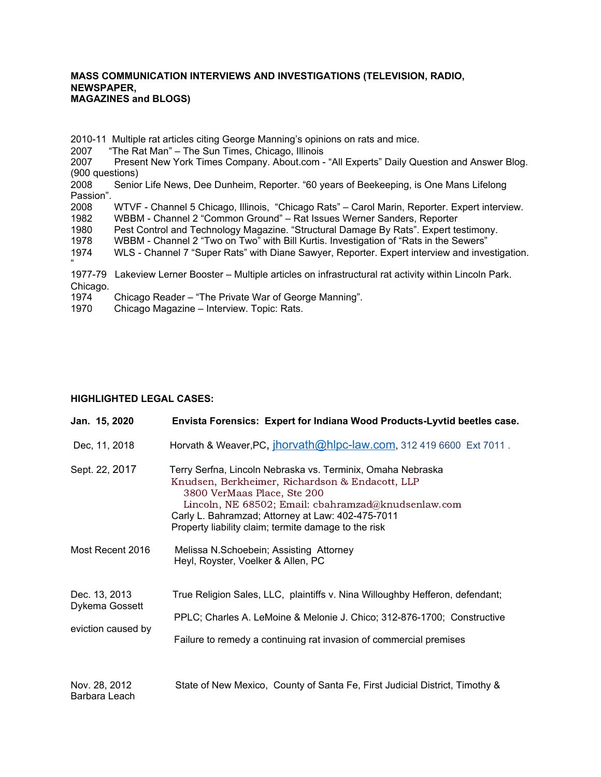### **MASS COMMUNICATION INTERVIEWS AND INVESTIGATIONS (TELEVISION, RADIO, NEWSPAPER, MAGAZINES and BLOGS)**

2010-11 Multiple rat articles citing George Manning's opinions on rats and mice.

2007 "The Rat Man" – The Sun Times, Chicago, Illinois<br>2007 Present New York Times Company. About.com -

Present New York Times Company. About.com - "All Experts" Daily Question and Answer Blog. (900 questions)

2008 Senior Life News, Dee Dunheim, Reporter. "60 years of Beekeeping, is One Mans Lifelong Passion".

2008 WTVF - Channel 5 Chicago, Illinois, "Chicago Rats" – Carol Marin, Reporter. Expert interview.

1982 WBBM - Channel 2 "Common Ground" – Rat Issues Werner Sanders, Reporter

1980 Pest Control and Technology Magazine. "Structural Damage By Rats". Expert testimony.

1978 WBBM - Channel 2 "Two on Two" with Bill Kurtis. Investigation of "Rats in the Sewers"

1974 WLS - Channel 7 "Super Rats" with Diane Sawyer, Reporter. Expert interview and investigation.

" 1977-79 Lakeview Lerner Booster – Multiple articles on infrastructural rat activity within Lincoln Park. Chicago.

1974 Chicago Reader – "The Private War of George Manning".

1970 Chicago Magazine – Interview. Topic: Rats.

# **HIGHLIGHTED LEGAL CASES:**

| Jan. 15, 2020                                         | Envista Forensics: Expert for Indiana Wood Products-Lyvtid beetles case.                                                                                                                                                                                                                                          |
|-------------------------------------------------------|-------------------------------------------------------------------------------------------------------------------------------------------------------------------------------------------------------------------------------------------------------------------------------------------------------------------|
| Dec, 11, 2018                                         | Horvath & Weaver, PC, jhorvath@hlpc-law.com, 312 419 6600 Ext 7011.                                                                                                                                                                                                                                               |
| Sept. 22, 2017                                        | Terry Serfna, Lincoln Nebraska vs. Terminix, Omaha Nebraska<br>Knudsen, Berkheimer, Richardson & Endacott, LLP<br>3800 VerMaas Place, Ste 200<br>Lincoln, NE 68502; Email: cbahramzad@knudsenlaw.com<br>Carly L. Bahramzad; Attorney at Law: 402-475-7011<br>Property liability claim; termite damage to the risk |
| Most Recent 2016                                      | Melissa N.Schoebein; Assisting Attorney<br>Heyl, Royster, Voelker & Allen, PC                                                                                                                                                                                                                                     |
| Dec. 13, 2013<br>Dykema Gossett<br>eviction caused by | True Religion Sales, LLC, plaintiffs v. Nina Willoughby Hefferon, defendant;<br>PPLC; Charles A. LeMoine & Melonie J. Chico; 312-876-1700; Constructive<br>Failure to remedy a continuing rat invasion of commercial premises                                                                                     |
| Nov. 28, 2012<br>Barbara Leach                        | State of New Mexico, County of Santa Fe, First Judicial District, Timothy &                                                                                                                                                                                                                                       |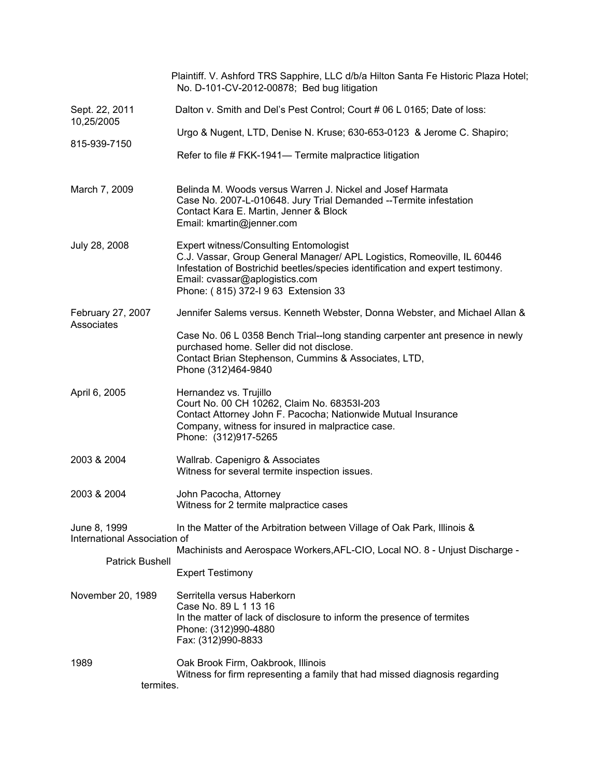|                                              | Plaintiff. V. Ashford TRS Sapphire, LLC d/b/a Hilton Santa Fe Historic Plaza Hotel;<br>No. D-101-CV-2012-00878; Bed bug litigation                                                                                                                                                   |
|----------------------------------------------|--------------------------------------------------------------------------------------------------------------------------------------------------------------------------------------------------------------------------------------------------------------------------------------|
| Sept. 22, 2011<br>10,25/2005                 | Dalton v. Smith and Del's Pest Control; Court # 06 L 0165; Date of loss:                                                                                                                                                                                                             |
| 815-939-7150                                 | Urgo & Nugent, LTD, Denise N. Kruse; 630-653-0123 & Jerome C. Shapiro;                                                                                                                                                                                                               |
|                                              | Refer to file # FKK-1941- Termite malpractice litigation                                                                                                                                                                                                                             |
| March 7, 2009                                | Belinda M. Woods versus Warren J. Nickel and Josef Harmata<br>Case No. 2007-L-010648. Jury Trial Demanded -- Termite infestation<br>Contact Kara E. Martin, Jenner & Block<br>Email: kmartin@jenner.com                                                                              |
| July 28, 2008                                | <b>Expert witness/Consulting Entomologist</b><br>C.J. Vassar, Group General Manager/ APL Logistics, Romeoville, IL 60446<br>Infestation of Bostrichid beetles/species identification and expert testimony.<br>Email: cvassar@aplogistics.com<br>Phone: (815) 372-I 9 63 Extension 33 |
| February 27, 2007<br>Associates              | Jennifer Salems versus. Kenneth Webster, Donna Webster, and Michael Allan &                                                                                                                                                                                                          |
|                                              | Case No. 06 L 0358 Bench Trial--long standing carpenter ant presence in newly<br>purchased home. Seller did not disclose.<br>Contact Brian Stephenson, Cummins & Associates, LTD,<br>Phone (312)464-9840                                                                             |
| April 6, 2005                                | Hernandez vs. Trujillo<br>Court No. 00 CH 10262, Claim No. 68353I-203<br>Contact Attorney John F. Pacocha; Nationwide Mutual Insurance<br>Company, witness for insured in malpractice case.<br>Phone: (312)917-5265                                                                  |
| 2003 & 2004                                  | Wallrab. Capenigro & Associates<br>Witness for several termite inspection issues.                                                                                                                                                                                                    |
| 2003 & 2004                                  | John Pacocha, Attorney<br>Witness for 2 termite malpractice cases                                                                                                                                                                                                                    |
| June 8, 1999<br>International Association of | In the Matter of the Arbitration between Village of Oak Park, Illinois &                                                                                                                                                                                                             |
| <b>Patrick Bushell</b>                       | Machinists and Aerospace Workers, AFL-CIO, Local NO. 8 - Unjust Discharge -                                                                                                                                                                                                          |
|                                              | <b>Expert Testimony</b>                                                                                                                                                                                                                                                              |
| November 20, 1989                            | Serritella versus Haberkorn<br>Case No. 89 L 1 13 16<br>In the matter of lack of disclosure to inform the presence of termites<br>Phone: (312)990-4880<br>Fax: (312)990-8833                                                                                                         |
| 1989<br>termites.                            | Oak Brook Firm, Oakbrook, Illinois<br>Witness for firm representing a family that had missed diagnosis regarding                                                                                                                                                                     |